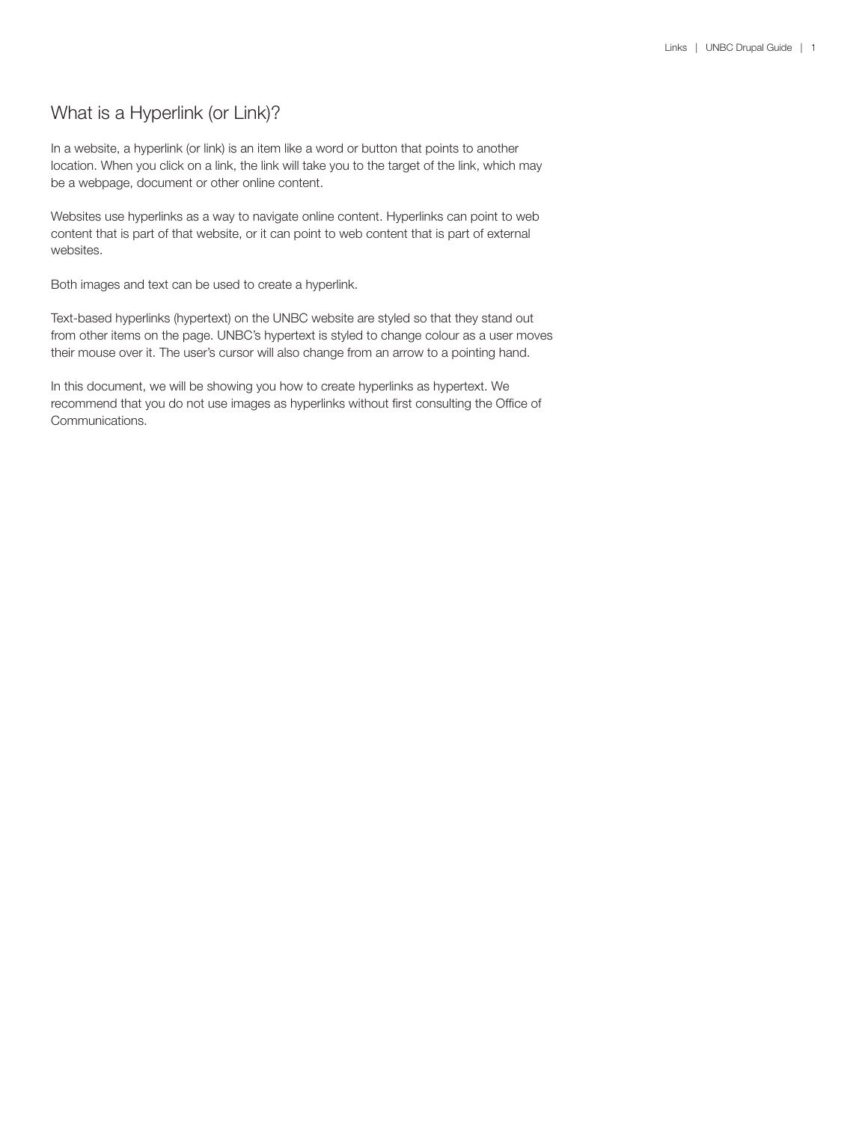# What is a Hyperlink (or Link)?

In a website, a hyperlink (or link) is an item like a word or button that points to another location. When you click on a link, the link will take you to the target of the link, which may be a webpage, document or other online content.

Websites use hyperlinks as a way to navigate online content. Hyperlinks can point to web content that is part of that website, or it can point to web content that is part of external websites.

Both images and text can be used to create a hyperlink.

Text-based hyperlinks (hypertext) on the UNBC website are styled so that they stand out from other items on the page. UNBC's hypertext is styled to change colour as a user moves their mouse over it. The user's cursor will also change from an arrow to a pointing hand.

In this document, we will be showing you how to create hyperlinks as hypertext. We recommend that you do not use images as hyperlinks without first consulting the Office of Communications.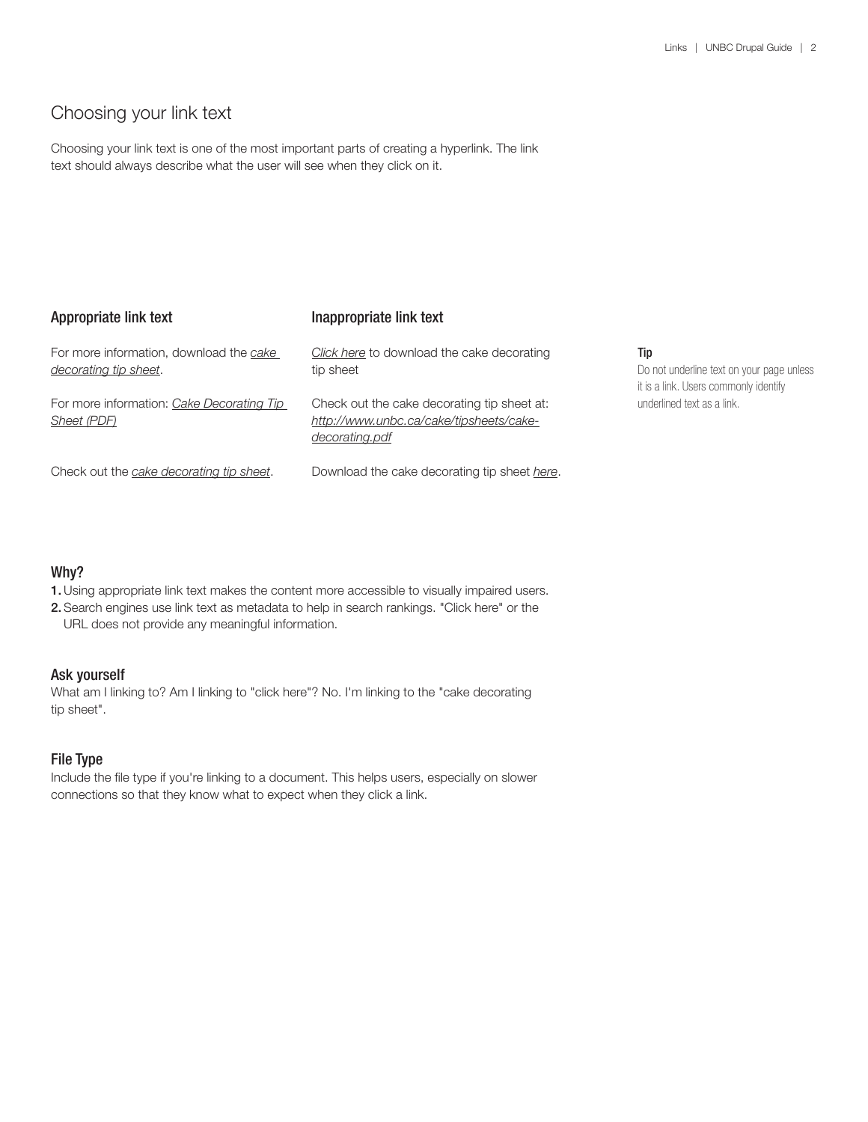# Choosing your link text

Choosing your link text is one of the most important parts of creating a hyperlink. The link text should always describe what the user will see when they click on it.

| Appropriate link text                                            | Inappropriate link text                                                                                  |
|------------------------------------------------------------------|----------------------------------------------------------------------------------------------------------|
| For more information, download the cake<br>decorating tip sheet. | Click here to download the cake decorating<br>tip sheet                                                  |
| For more information: Cake Decorating Tip<br>Sheet (PDF)         | Check out the cake decorating tip sheet at:<br>http://www.unbc.ca/cake/tipsheets/cake-<br>decorating.pdf |
| Check out the cake decorating tip sheet.                         | Download the cake decorating tip sheet here.                                                             |

### Tip

Do not underline text on your page unless it is a link. Users commonly identify underlined text as a link.

# Why?

- 1.Using appropriate link text makes the content more accessible to visually impaired users.
- 2. Search engines use link text as metadata to help in search rankings. "Click here" or the URL does not provide any meaningful information.

### Ask yourself

What am I linking to? Am I linking to "click here"? No. I'm linking to the "cake decorating tip sheet".

# File Type

Include the file type if you're linking to a document. This helps users, especially on slower connections so that they know what to expect when they click a link.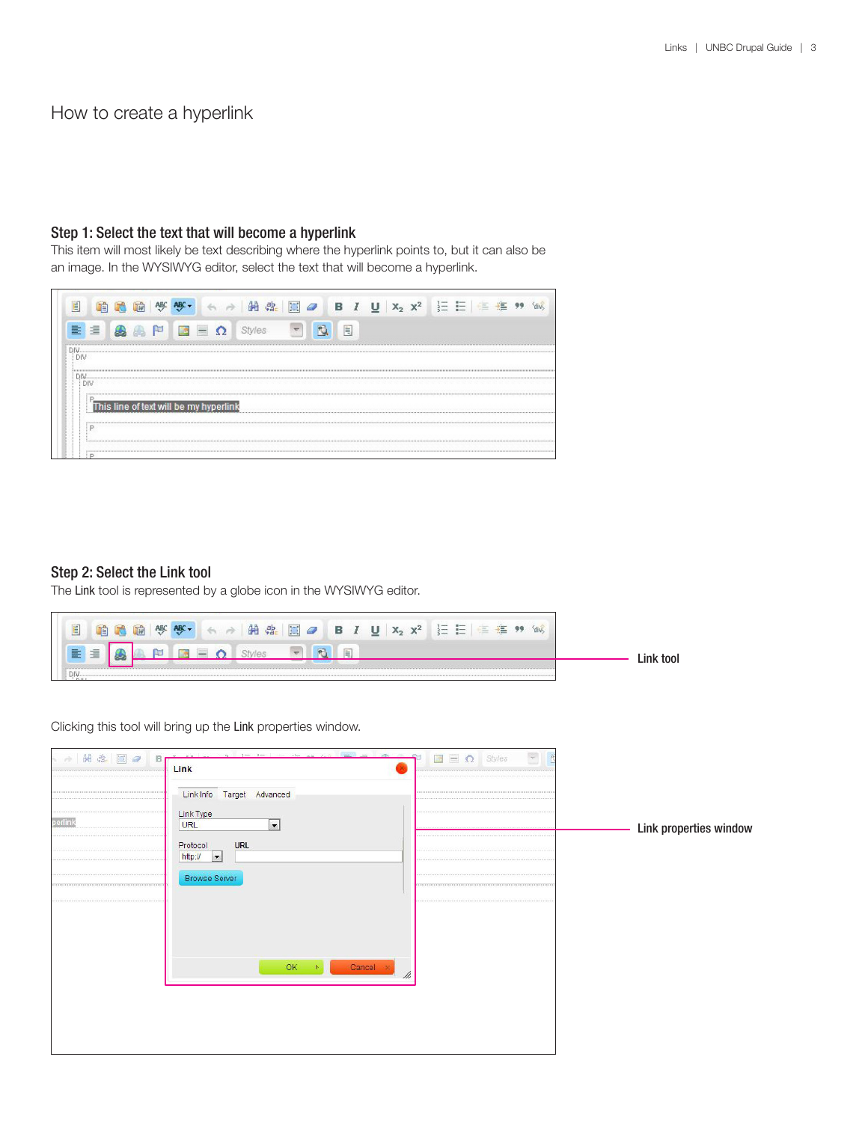# How to create a hyperlink

## Step 1: Select the text that will become a hyperlink

This item will most likely be text describing where the hyperlink points to, but it can also be an image. In the WYSIWYG editor, select the text that will become a hyperlink.

| $=$<br>18 |                                        | 肩 |  |  |
|-----------|----------------------------------------|---|--|--|
|           |                                        |   |  |  |
|           |                                        |   |  |  |
|           |                                        |   |  |  |
|           |                                        |   |  |  |
|           |                                        |   |  |  |
|           |                                        |   |  |  |
|           |                                        |   |  |  |
|           |                                        |   |  |  |
|           | This line of text will be my hyperlink |   |  |  |

### Step 2: Select the Link tool

The Link tool is represented by a globe icon in the WYSIWYG editor.



Clicking this tool will bring up the Link properties window.

| → 用出图●  | $1 - 1$<br>$1.746 - 1.7$<br>B <sub>1</sub><br>Link | you have all you<br>$\Box$ $\Box$ Styles |                        |
|---------|----------------------------------------------------|------------------------------------------|------------------------|
|         | Link Info Target Advanced                          |                                          |                        |
| perlink | Link Type<br>$\vert \cdot \vert$<br>URL            |                                          | Link properties window |
|         | <b>URL</b><br>Protocol<br>http://                  |                                          |                        |
|         | <b>Browse Server</b>                               |                                          |                        |
|         |                                                    |                                          |                        |
|         |                                                    |                                          |                        |
|         | $OK$ $\rightarrow$                                 | Cancel oc<br>$\frac{1}{2}$               |                        |
|         |                                                    |                                          |                        |
|         |                                                    |                                          |                        |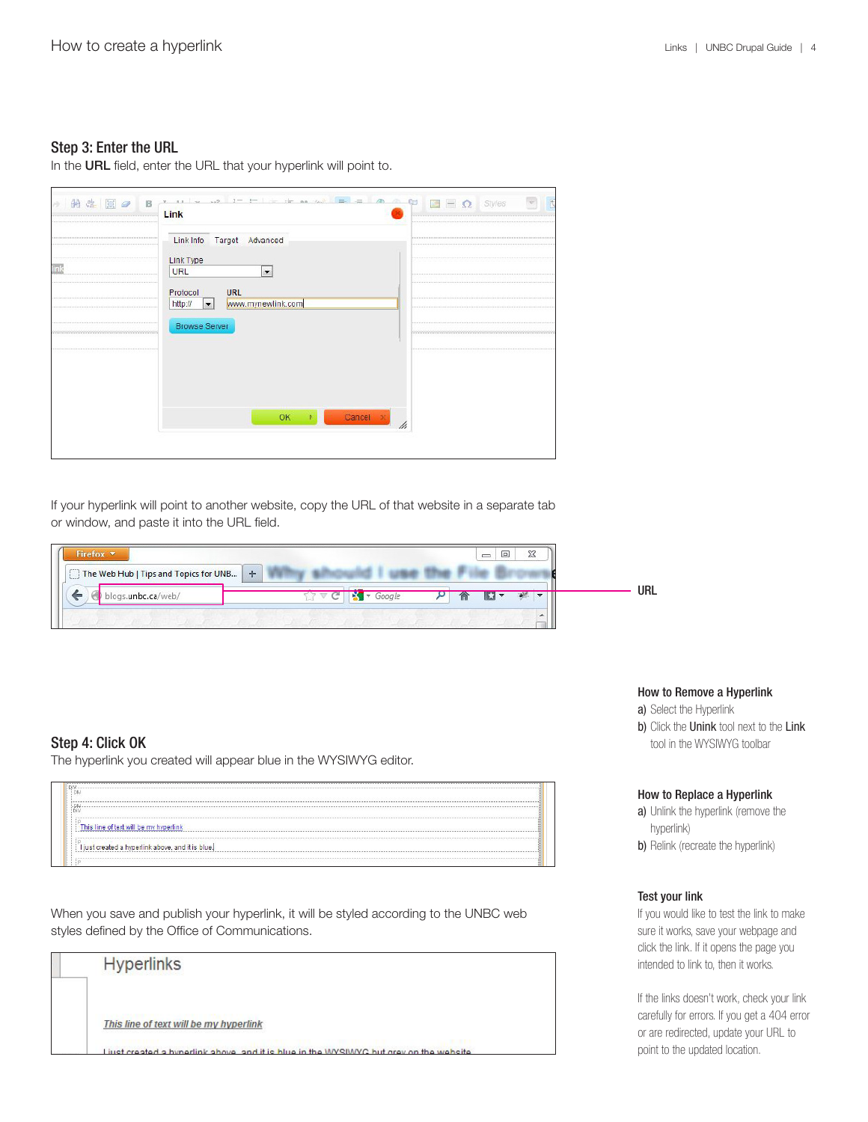### Step 3: Enter the URL

In the URL field, enter the URL that your hyperlink will point to.

|     | Link Info Target Advanced                                                     |               |
|-----|-------------------------------------------------------------------------------|---------------|
| inl | Link Type<br>URL<br>$\overline{\phantom{a}}$                                  |               |
|     | <b>URL</b><br>Protocol<br>www.mynewlink.com<br>http://<br>$\vert \cdot \vert$ |               |
|     | <b>Browse Server</b>                                                          |               |
|     |                                                                               |               |
|     |                                                                               |               |
|     | OK N                                                                          | Cancel x<br>h |

If your hyperlink will point to another website, copy the URL of that website in a separate tab or window, and paste it into the URL field.

| Firefox <b>v</b><br>The Web Hub   Tips and Topics for UNB   + |        | $\Box$<br>$\equiv$ | 23 |            |
|---------------------------------------------------------------|--------|--------------------|----|------------|
| <b><i><u>Approved</u></i></b><br>gs.unbc.ca/web/              | Google |                    |    | <b>URL</b> |
|                                                               |        |                    |    |            |

# Step 4: Click OK

The hyperlink you created will appear blue in the WYSIWYG editor.

| 77.11                                                               |  |  |
|---------------------------------------------------------------------|--|--|
|                                                                     |  |  |
| This line of text will be my hyperlink                              |  |  |
|                                                                     |  |  |
| $\overline{D}$<br>I just created a hyperlink above, and it is blue. |  |  |
| <b>BEEREER</b>                                                      |  |  |
|                                                                     |  |  |

When you save and publish your hyperlink, it will be styled according to the UNBC web styles defined by the Office of Communications.

| <b>Hyperlinks</b>                                                                      |
|----------------------------------------------------------------------------------------|
| This line of text will be my hyperlink                                                 |
| Liust created a hynerlink above, and it is blue in the WYSIWYC but grey on the website |

#### How to Remove a Hyperlink

- a) Select the Hyperlink
- b) Click the Unink tool next to the Link tool in the WYSIWYG toolbar

### How to Replace a Hyperlink

a) Unlink the hyperlink (remove the hyperlink)

b) Relink (recreate the hyperlink)

#### Test your link

If you would like to test the link to make sure it works, save your webpage and click the link. If it opens the page you intended to link to, then it works.

If the links doesn't work, check your link carefully for errors. If you get a 404 error or are redirected, update your URL to point to the updated location.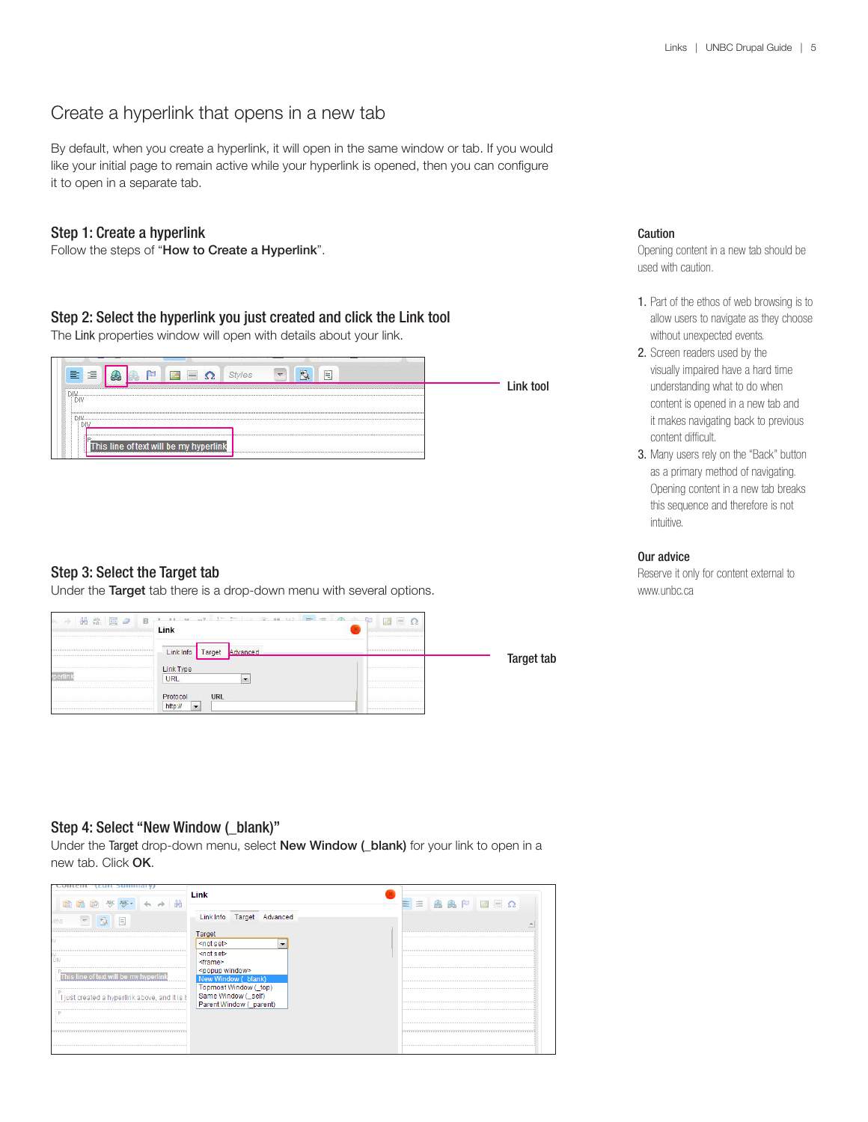# Create a hyperlink that opens in a new tab

By default, when you create a hyperlink, it will open in the same window or tab. If you would like your initial page to remain active while your hyperlink is opened, then you can configure it to open in a separate tab.

### Step 1: Create a hyperlink

Follow the steps of "How to Create a Hyperlink".

## Step 2: Select the hyperlink you just created and click the Link tool

The Link properties window will open with details about your link.



# Step 3: Select the Target tab

Under the Target tab there is a drop-down menu with several options.

| ト→ 的 出 国 2<br>B | Link                             | $\Box$ = $\Omega$ |                   |
|-----------------|----------------------------------|-------------------|-------------------|
|                 | Link Info Target<br>Advanced     |                   | <b>Target tab</b> |
| perlink         | Link Type<br>URL<br>$\cdot$      |                   |                   |
|                 | Protocol<br>URL<br>http://<br> → |                   |                   |

## Caution

Opening content in a new tab should be used with caution.

- 1. Part of the ethos of web browsing is to allow users to navigate as they choose without unexpected events.
- 2. Screen readers used by the visually impaired have a hard time understanding what to do when content is opened in a new tab and it makes navigating back to previous content difficult.
- 3. Many users rely on the "Back" button as a primary method of navigating. Opening content in a new tab breaks this sequence and therefore is not intuitive.

### Our advice

Reserve it only for content external to www.unbc.ca

### Step 4: Select "New Window ( blank)"

Under the Target drop-down menu, select New Window ( blank) for your link to open in a new tab. Click OK.

| comen<br>暗路脑 等等 ← → 的                                                                                      | Link                                                                                                                                                                                                                                          | EEAAPEEQ |
|------------------------------------------------------------------------------------------------------------|-----------------------------------------------------------------------------------------------------------------------------------------------------------------------------------------------------------------------------------------------|----------|
| des.                                                                                                       | Link Info Target Advanced                                                                                                                                                                                                                     |          |
| DIV<br>This line of text will be my hyperlink<br>P.<br>I just created a hyperlink above, and it is I<br>C. | Target<br><not set=""><br/><math>\overline{\phantom{a}}</math><br/><not set=""><br/>≺frame&gt;<br/><popup window=""><br/>New Window ( blank)<br/>Topmost Window (_top)<br/>Same Window (self)<br/>Parent Window (_parent)</popup></not></not> |          |
|                                                                                                            |                                                                                                                                                                                                                                               |          |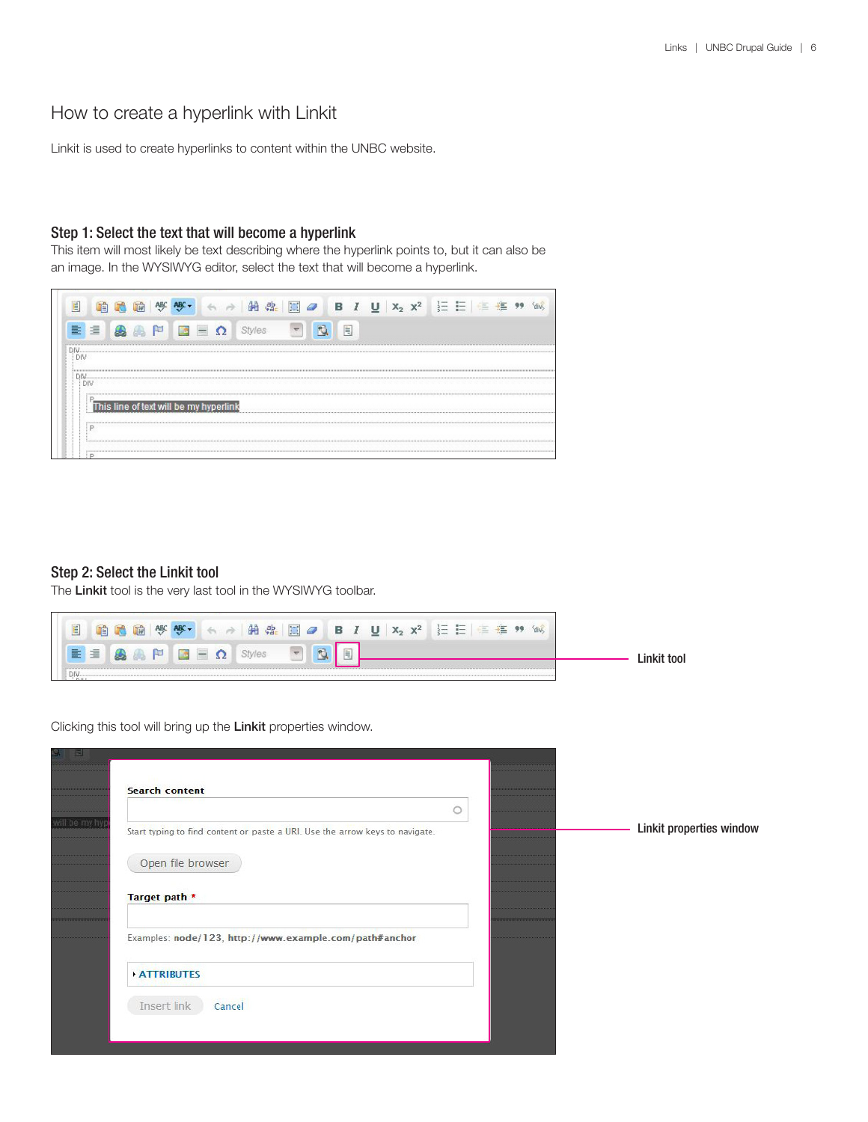# How to create a hyperlink with Linkit

Linkit is used to create hyperlinks to content within the UNBC website.

## Step 1: Select the text that will become a hyperlink

This item will most likely be text describing where the hyperlink points to, but it can also be an image. In the WYSIWYG editor, select the text that will become a hyperlink.

| Ë   |   |  |            |                                        | æ |  | в |   |  |  |  |  |  |
|-----|---|--|------------|----------------------------------------|---|--|---|---|--|--|--|--|--|
| 亖   | 這 |  | <b>MAG</b> |                                        |   |  |   | E |  |  |  |  |  |
|     |   |  |            |                                        |   |  |   |   |  |  |  |  |  |
| DB. |   |  |            |                                        |   |  |   |   |  |  |  |  |  |
|     |   |  |            |                                        |   |  |   |   |  |  |  |  |  |
| DIV |   |  |            |                                        |   |  |   |   |  |  |  |  |  |
|     |   |  |            |                                        |   |  |   |   |  |  |  |  |  |
|     |   |  |            | This line of text will be my hyperlink |   |  |   |   |  |  |  |  |  |
|     |   |  |            |                                        |   |  |   |   |  |  |  |  |  |
|     |   |  |            |                                        |   |  |   |   |  |  |  |  |  |
|     |   |  |            |                                        |   |  |   |   |  |  |  |  |  |

### Step 2: Select the Linkit tool

The Linkit tool is the very last tool in the WYSIWYG toolbar.



Clicking this tool will bring up the Linkit properties window.

| 이 티            |                                                                              |  |                          |
|----------------|------------------------------------------------------------------------------|--|--------------------------|
|                | <b>Search content</b>                                                        |  |                          |
|                |                                                                              |  |                          |
| will be my hyp | Start typing to find content or paste a URI. Use the arrow keys to navigate. |  | Linkit properties window |
|                | Open file browser                                                            |  |                          |
|                | Target path *                                                                |  |                          |
|                | Examples: node/123, http://www.example.com/path#anchor                       |  |                          |
|                | <b>ATTRIBUTES</b>                                                            |  |                          |
|                | Insert link<br>Cancel                                                        |  |                          |
|                |                                                                              |  |                          |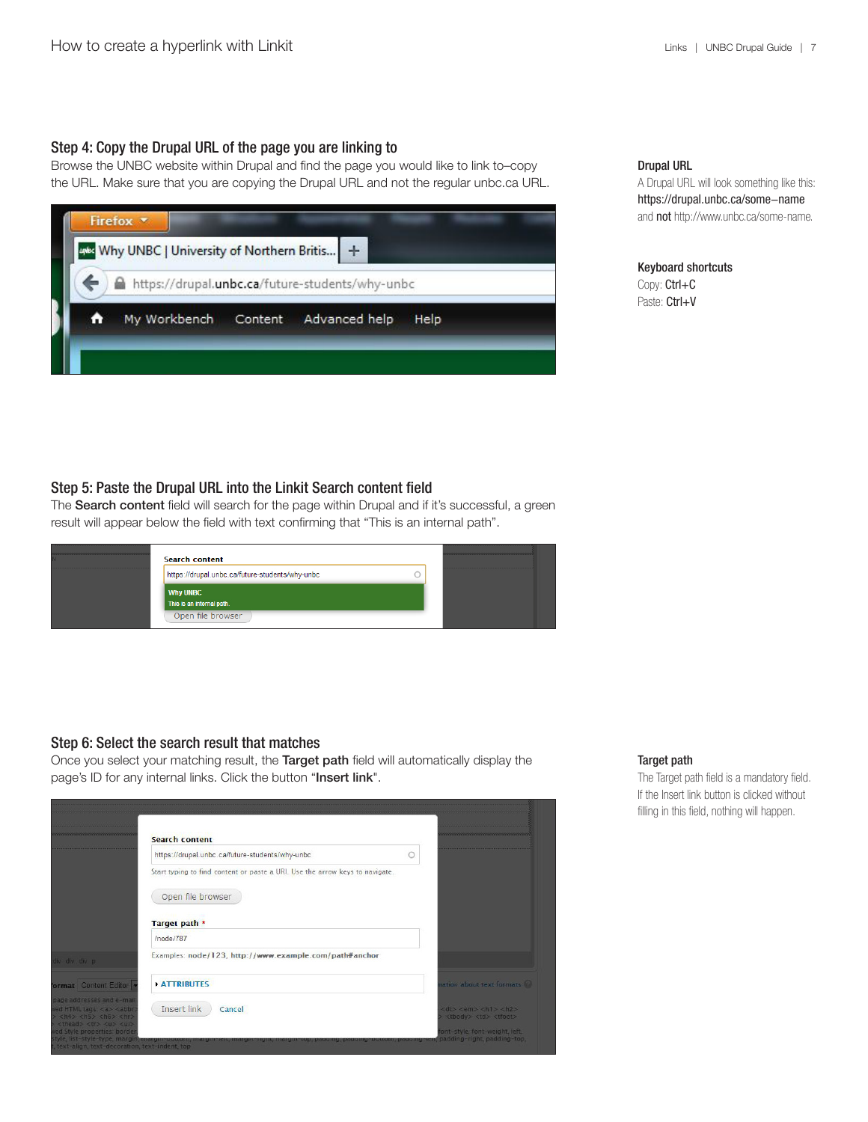### Step 4: Copy the Drupal URL of the page you are linking to

Browse the UNBC website within Drupal and find the page you would like to link to–copy the URL. Make sure that you are copying the Drupal URL and not the regular unbc.ca URL.

|   | Firefox *<br>Why UNBC   University of Northern Britis   + |         |                                                 |      |
|---|-----------------------------------------------------------|---------|-------------------------------------------------|------|
|   |                                                           |         | https://drupal.unbc.ca/future-students/why-unbc |      |
| Α | My Workbench                                              | Content | Advanced help                                   | Help |

### Drupal URL

A Drupal URL will look something like this: https://drupal.unbc.ca/some-name and not http://www.unbc.ca/some-name.

### Keyboard shortcuts Copy: Ctrl+C Paste: Ctrl+V

# Step 5: Paste the Drupal URL into the Linkit Search content field

The Search content field will search for the page within Drupal and if it's successful, a green result will appear below the field with text confirming that "This is an internal path".



### Step 6: Select the search result that matches

Once you select your matching result, the Target path field will automatically display the page's ID for any internal links. Click the button "Insert link".

|                                                                                                                                                                           | <b>Search content</b>                                                                                                                                 |                                                                                     |                 |
|---------------------------------------------------------------------------------------------------------------------------------------------------------------------------|-------------------------------------------------------------------------------------------------------------------------------------------------------|-------------------------------------------------------------------------------------|-----------------|
|                                                                                                                                                                           | https://drupal.unbc.ca/future-students/why-unbc                                                                                                       |                                                                                     |                 |
|                                                                                                                                                                           | Start typing to find content or paste a URI. Use the arrow keys to navigate.                                                                          |                                                                                     |                 |
|                                                                                                                                                                           | Open file browser                                                                                                                                     |                                                                                     |                 |
|                                                                                                                                                                           | Target path *                                                                                                                                         |                                                                                     |                 |
|                                                                                                                                                                           | /node/787                                                                                                                                             |                                                                                     |                 |
| liv div div p.                                                                                                                                                            | Examples: node/123, http://www.example.com/path#anchor                                                                                                |                                                                                     |                 |
| format Content Editor                                                                                                                                                     | <b>ATTRIBUTES</b>                                                                                                                                     | ation about text formats W                                                          |                 |
| page addresses and e-mail<br>ved HTML tags <a> <abbr<br><math>&gt;</math> <h4> <h5> <h6> <hr/><br/><thead><tr><u> <ul></ul></u></tr></thead></h6></h5></h4></abbr<br></a> | Insert link<br>Cancel                                                                                                                                 | <dt> <em> <h1> <h2><br/><tbody><td><tfoot></tfoot></td></tbody></h2></h1></em></dt> | <tfoot></tfoot> |
|                                                                                                                                                                           |                                                                                                                                                       |                                                                                     |                 |
| ed Style properties: border<br>text-align, text-decoration, text-indent, top                                                                                              | style, list-style-type, margin, margin-ooxom, margin-reit, margin-nght, margin-cop, padding, padding-ooxom, padding-reit, padding-right, padding-top, | ont-style, font-weight, left,                                                       |                 |

## Target path

The Target path field is a mandatory field. If the Insert link button is clicked without filling in this field, nothing will happen.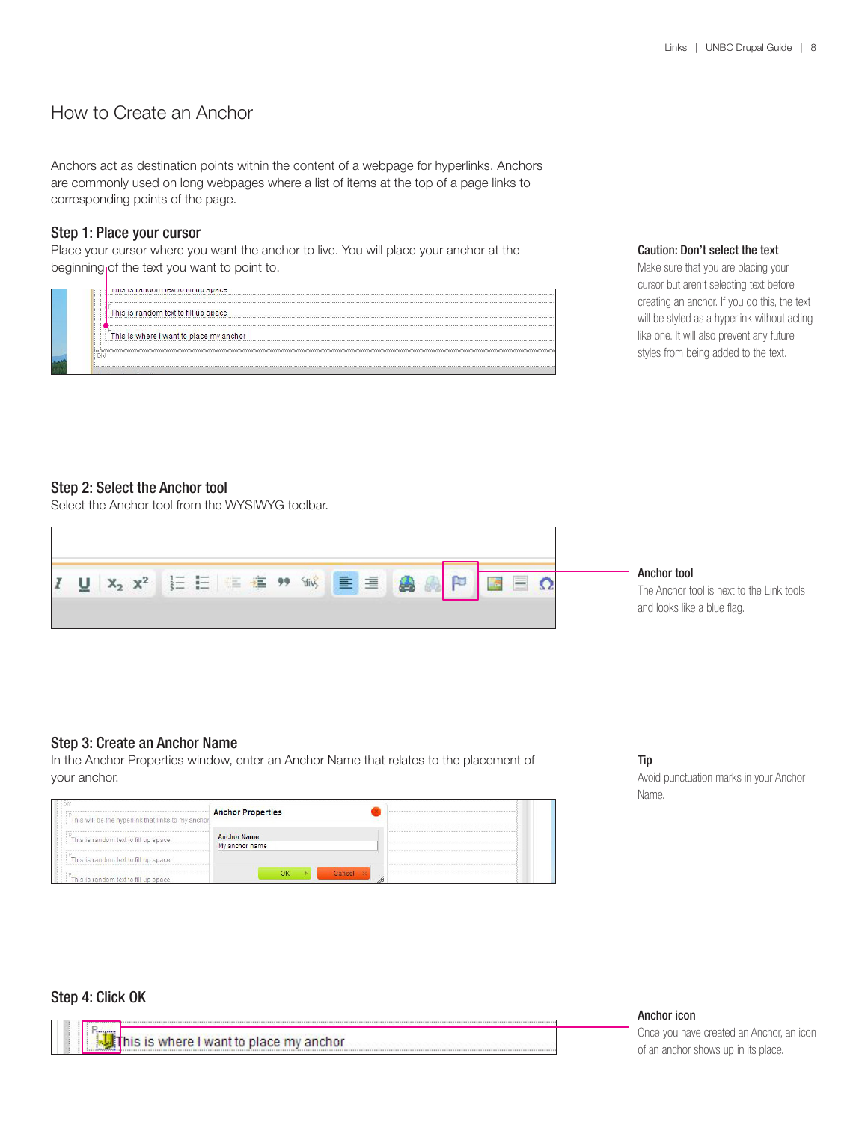# How to Create an Anchor

Anchors act as destination points within the content of a webpage for hyperlinks. Anchors are commonly used on long webpages where a list of items at the top of a page links to corresponding points of the page.

## Step 1: Place your cursor

Place your cursor where you want the anchor to live. You will place your anchor at the beginning of the text you want to point to.

|                | <b>IN THE REPORT OF A REPORT OF A REPORT OF A REPORT OF A REPORT OF A REPORT OF A REPORT OF A REPORT OF A REPORT O</b> |
|----------------|------------------------------------------------------------------------------------------------------------------------|
|                |                                                                                                                        |
|                | This is random text to fill up space                                                                                   |
|                |                                                                                                                        |
|                | This is where I want to place my anchor                                                                                |
|                |                                                                                                                        |
| D <sub>b</sub> |                                                                                                                        |
|                |                                                                                                                        |

#### Caution: Don't select the text

Make sure that you are placing your cursor but aren't selecting text before creating an anchor. If you do this, the text will be styled as a hyperlink without acting like one. It will also prevent any future styles from being added to the text.

#### Step 2: Select the Anchor tool

Select the Anchor tool from the WYSIWYG toolbar.



#### Anchor tool

The Anchor tool is next to the Link tools and looks like a blue flag.

### Step 3: Create an Anchor Name

In the Anchor Properties window, enter an Anchor Name that relates to the placement of your anchor.

| This will be the hyperlink that links to my anchor | <b>Anchor Properties</b>             |   |
|----------------------------------------------------|--------------------------------------|---|
| This is random text to fill up space               | <b>Anchor Name</b><br>My anchor name |   |
| This is random text to fill up space               |                                      |   |
| This is random text to fill up space               | Cancel x<br>OК                       | W |

#### Tip

Avoid punctuation marks in your Anchor Name.

### Step 4: Click OK

This is where I want to place my anchor

Anchor icon

Once you have created an Anchor, an icon of an anchor shows up in its place.